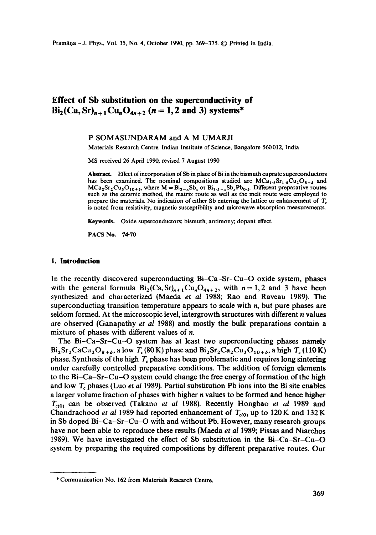# **Effect of Sb substitution on the superconductivity of**   $\text{Bi}_2(\text{Ca}, \text{Sr})_{n+1}\text{Cu}_n\text{O}_{4n+2}$  (n = 1, 2 and 3) systems\*

#### P SOMASUNDARAM and A M UMARJI

Materials Research Centre, Indian Institute of Science, Bangalore 560012, India

MS received 26 April 1990, revised 7 August 1990

**Abstract.** Effect of incorporation of Sb in place of Bi in the bismuth cuprate superconductors has been examined. The nominal compositions studied are  $MCa_1, Sr_1, Scu_2O_{8+\delta}$  and  $MCa_2Sr_2Cu_3O_{10+\delta}$ , where  $M = Bi_{2-x}Sb_x$  or  $Bi_{1.5-x}Sb_xPb_0.$ , Different preparative routes such as the ceramic method, the matrix route as well as the melt route were employed to prepare the materials. No indication of either Sb entering the lattice or enhancement of  $T_c$ is noted from resistivity, magnetic susceptibility and microwave absorption measurements.

Keywords. Oxide superconductors; bismuth; antimony; dopant effect.

PACS No. 74-70

## **1. Introduction**

In the recently discovered superconducting Bi-Ca-Sr-Cu-O oxide system, phases with the general formula  $Bi_2(Ca, Sr)_{n+1}Cu_nO_{4n+2}$ , with  $n = 1,2$  and 3 have been synthesized and characterized (Maeda *et al* 1988; Rao and Raveau 1989). The superconducting transition temperature appears to scale with  $n$ , but pure phases are seldom formed. At the microscopic level, intergrowth structures with different  $n$  values are observed (Ganapathy *et al* 1988) and mostly the bulk preparations contain a mixture of phases with different values of n.

The Bi $-Ca-Sr-Cu-O$  system has at least two superconducting phases namely  $Bi_2Sr_2CaCu_2O_{8+\delta}$ , a low  $T_c(80 \text{ K})$  phase and  $Bi_2Sr_2Ca_2Cu_3O_{10+\delta}$ , a high  $T_c(110 \text{ K})$ phase. Synthesis of the high  $T_c$  phase has been problematic and requires long sintering under carefully controlled preparative conditions. The addition of foreign elements to the Bi-Ca-Sr-Cu-O system could change the free energy of formation of the high and low  $T_c$  phases (Luo *et al* 1989). Partial substitution Pb ions into the Bi site enables a larger volume fraction of phases with higher n values to be formed and hence higher  $T_{c(0)}$  can be observed (Takano *et al* 1988). Recently Hongbao *et al* 1989 and Chandrachood *et al* 1989 had reported enhancement of  $T_{\text{eq0}}$  up to 120 K and 132 K in Sb doped Bi-Ca-Sr-Cu-O with and without Pb. However, many research groups have not been able to reproduce these results (Maeda *et al* 1989; Pissas and Niarchos 1989). We have investigated the effect of Sb substitution in the  $Bi-Ca-Sr-Cu-O$ system by preparing the required compositions by different preparative routes. Our

<sup>\*</sup> Communication No. 162 from Materials Research Centre.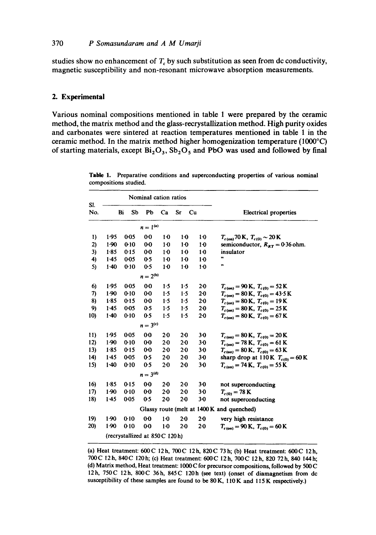studies show no enhancement of  $T_c$  by such substitution as seen from dc conductivity, magnetic susceptibility and non-resonant microwave absorption measurements.

### **2. Experimental**

Various nominal compositions mentioned in table 1 were prepared by the ceramic method, the matrix method and the glass-recrystallization method. High purity oxides and carbonates were sintered at reaction temperatures mentioned in table 1 in the ceramic method. In the matrix method higher homogenization temperature (1000°C) of starting materials, except  $Bi_2O_3$ ,  $Sb_2O_5$  and PbO was used and followed by final

|                                            | Nominal cation ratios |           |                |         |       |                |                                                       |  |
|--------------------------------------------|-----------------------|-----------|----------------|---------|-------|----------------|-------------------------------------------------------|--|
| SI.<br>No.                                 |                       | Bi<br>Sb  | Pb             | Ca      | Sr    | Cu             | <b>Electrical properties</b>                          |  |
| $n = 1^{(a)}$                              |                       |           |                |         |       |                |                                                       |  |
| 1)                                         | 1.95                  | 0-05      | $0-0$          | $1-0$   | $1-0$ | 10             | $T_{c (on)}$ 70 K, $T_{c (0)} \sim 20$ K              |  |
| 2)                                         | 1.90                  | $0 - 10$  | 00             | $1-0$   | $1-0$ | 10             | semiconductor, $R_{RT} = 0.36$ ohm.                   |  |
| 3)                                         | $1-85$                | 0.15      | $0-0$          | $1-0$   | $1-0$ | $1-0$          | insulator                                             |  |
| 4)                                         | $1-45$                | $0 - 0.5$ | 0 <sub>5</sub> | $1-0$   | $1-0$ | 1 <sub>0</sub> | m                                                     |  |
| 5)                                         | $1-40$                | 0.10      | 0.5            | $1-0$   | $1-0$ | 10             | m                                                     |  |
|                                            | $n = 2^{(b)}$         |           |                |         |       |                |                                                       |  |
| 6)                                         | 1.95                  | 0-05      | 00             | 1.5     | 1.5   | 20             | $T_{c(00)} = 90 \text{ K}, T_{c(0)} = 52 \text{ K}$   |  |
| 7)                                         | $1-90$                | 0.10      | 00             | 1.5     | 1.5   | $2 - 0$        | $T_{c(0n)} = 80 \text{ K}, T_{c(0)} = 43.5 \text{ K}$ |  |
| 8)                                         | 1.85                  | 0.15      | $0-0$          | 1.5     | 1.5   | $2-0$          | $T_{c(0n)} = 80 \text{ K}, T_{c(0)} = 19 \text{ K}$   |  |
| 9)                                         | 1.45                  | 0-05      | 0.5            | $1-5$   | 1.5   | $2-0$          | $T_{c(00)} = 80 \text{ K}, T_{c(0)} = 25 \text{ K}$   |  |
| 10)                                        | $1-40$                | 0.10      | 0.5            | 1.5     | 1.5   | $2-0$          | $T_{c(00)} = 80 \text{ K}, T_{c(0)} = 67 \text{ K}$   |  |
| $n = 3^{(c)}$                              |                       |           |                |         |       |                |                                                       |  |
| 11)                                        | 1.95                  | 0.05      | 00             | 20      | 20    | 3-0            | $T_{c(0n)} = 80 \text{ K}, T_{c(0)} = 20 \text{ K}$   |  |
| 12)                                        | 1.90                  | 0.10      | $0-0$          | $2-0$   | $2-0$ | 3.0            | $T_{c(0n)} = 78$ K, $T_{c(0)} = 61$ K                 |  |
| 13)                                        | $1-85$                | 0-15      | 00             | $2 - 0$ | $2-0$ | $3-0$          | $T_{c(0n)} = 80 \text{ K}, T_{c(0)} = 63 \text{ K}$   |  |
| 14)                                        | 1.45                  | 0.05      | 0.5            | $2 - 0$ | $2-0$ | 30             | sharp drop at 110 K $T_{c(0)} = 60$ K                 |  |
| 15)                                        | $1-40$                | 0.10      | 0.5            | $2-0$   | $2-0$ | $3-0$          | $T_{c(0n)} = 74$ K, $T_{c(0)} = 55$ K                 |  |
|                                            | $n = 3^{(d)}$         |           |                |         |       |                |                                                       |  |
| 16)                                        | $1 - 85$              | $0 - 15$  | $0-0$          | $2 - 0$ | 20    | 30             | not superconducting                                   |  |
| 17)                                        | $1-90$                | 0.10      | 00             | $2-0$   | $2-0$ | 30             | $T_{c(0)} = 78 \text{ K}$                             |  |
| 18)                                        | 1.45                  | 0-05      | 0.5            | $2-0$   | 20    | 30             | not superconducting                                   |  |
| Glassy route (melt at 1400 K and quenched) |                       |           |                |         |       |                |                                                       |  |
| 19)                                        | $1-90$                | $0 - 10$  | 00             | $1-0$   | $2-0$ | 20             | very high resistance                                  |  |
| 20)                                        | 1.90                  | 0.10      | $0-0$          | $1-0$   | 20    | 20             | $T_{c(00)} = 90 \text{ K}, T_{c(0)} = 60 \text{ K}$   |  |
| (recrystallized at 850C 120h)              |                       |           |                |         |       |                |                                                       |  |

Table 1. Preparative conditions and superconducting properties of various nominal compositions studied.

(a) Heat treatment: 600C 12h, 700C 12h, 820C 73h; (b) Heat treatment: 600C 12h, 700C 12h, 840C 120h; (c) Heat treatment: 600C 12h, 700C 12h, 820 72h, 840 144h; (d) Matrix method, Heat treatment: 1000 C for precursor compositions, followed by 500 C 12h, 750C 12h, 800C 36h, 845C 120h (see text) (onset of diamagnetism from dc susceptibility of these samples are found to be 80 K, 110 K and 115 K respectively.)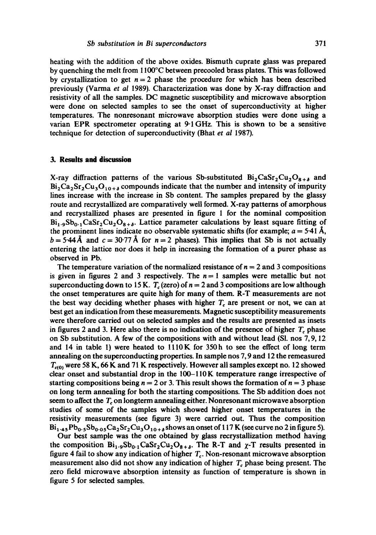heating with the addition of the above oxides. Bismuth cuprate glass was prepared by quenching the melt from 1100°C between precooled brass plates. This was followed by crystallization to get  $n = 2$  phase the procedure for which has been described previously (Varma *et al* 1989). Characterization was done by X-ray diffraction and resistivity of all the samples. DC magnetic susceptibility and microwave absorption were done on selected samples to see the onset of superconductivity at higher temperatures. The nonresonant microwave absorption studies were done using a varian EPR spectrometer operating at 9-1GHz. This is shown to be a sensitive technique for detection of superconductivity (Bhat *et al* 1987).

### **3. Results and discussion**

X-ray diffraction patterns of the various Sb-substituted  $Bi_2CaSr_2Cu_2O_{8+6}$  and  $Bi_2Ca_2Sr_2Cu_3O_{10+\delta}$  compounds indicate that the number and intensity of impurity lines increase with the increase in Sb content. The samples prepared by the glassy route and recrystallized are comparatively well formed. X-ray patterns of amorphous and recrystallized phases are presented in figure 1 for the nominal composition  $Bi_{1.9}Sb_{0.1}CaSr_2Cu_2O_{8+\delta}$ . Lattice parameter calculations by least square fitting of the prominent lines indicate no observable systematic shifts (for example;  $a = 5.41 \text{ Å}$ ,  $b = 5.44\text{ Å}$  and  $c = 30.77\text{ Å}$  for  $n = 2$  phases). This implies that Sb is not actually entering the lattice nor does it help in increasing the formation of a purer phase as observed in Pb.

The temperature variation of the normalized resistance of  $n = 2$  and 3 compositions is given in figures 2 and 3 respectively. The  $n = 1$  samples were metallic but not superconducting down to 15 K.  $T_c$  (zero) of  $n = 2$  and 3 compositions are low although the onset temperatures are quite high for many of them. R-T measurements are not the best way deciding whether phases with higher  $T_c$  are present or not, we can at best get an indication from these measurements. Magnetic susceptibility measurements were therefore carried out on selected samples and the results are presented as insets in figures 2 and 3. Here also there is no indication of the presence of higher  $T_c$  phase on Sb substitution. A few of the compositions with and without lead (SI. nos 7, 9, 12 and 14 in table 1) were heated to  $1110K$  for 350h to see the effect of long term annealing on the superconducting properties. In sample nos 7, 9 and 12 the remeasured  $T_{c(0)}$  were 58 K, 66 K and 71 K respectively. However all samples except no. 12 showed clear onset and substantial drop in the 100-110K temperature range irrespective of starting compositions being  $n = 2$  or 3. This result shows the formation of  $n = 3$  phase on long term annealing for both the starting compositions. The Sb addition does not seem to affect the  $T<sub>c</sub>$  on longterm annealing either. Nonresonant microwave absorption studies of some of the samples which showed higher onset temperatures in the resistivity measurements (see figure 3) were carried out. Thus the composition  $Bi_{1.45}Pb_{0.5}Sb_{0.05}Ca_2Sr_2Cu_3O_{10.6}$  shows an onset of 117 K (see curve no 2 in figure 5).

Our best sample was the one obtained by glass recrystallization method having the composition  $Bi_1, gSb_0, gCaSr_2Cu_2O_{8+\delta}$ . The R-T and  $\chi$ -T results presented in figure 4 fail to show any indication of higher  $T_c$ . Non-resonant microwave absorption measurement also did not show any indication of higher  $T_c$  phase being present. The zero field microwave absorption intensity as function of temperature is shown in figure 5 for selected samples.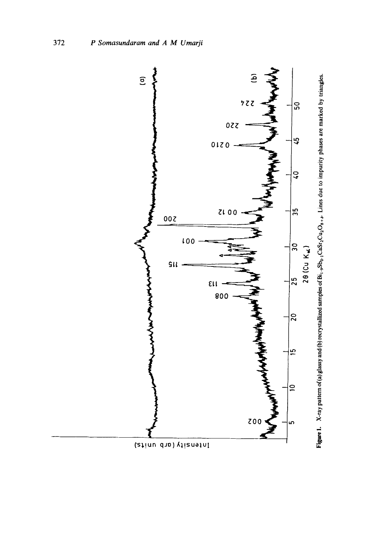

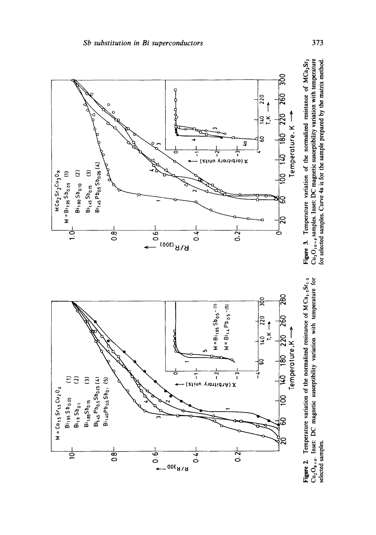

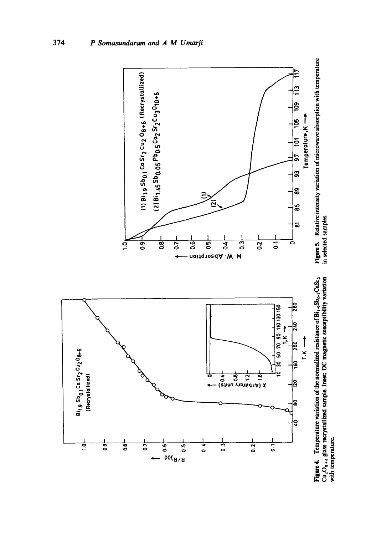

Figure 4. Temperature variation of the normalized resistance of  $Bi_1,{}_{9}Sb_0,{}_{1}CaSf_2$ <br>Cu<sub>2</sub>O<sub>8</sub>, , glass recrystallized sample. Inset: DC magnetic susceptibility variation<br>with temperature.